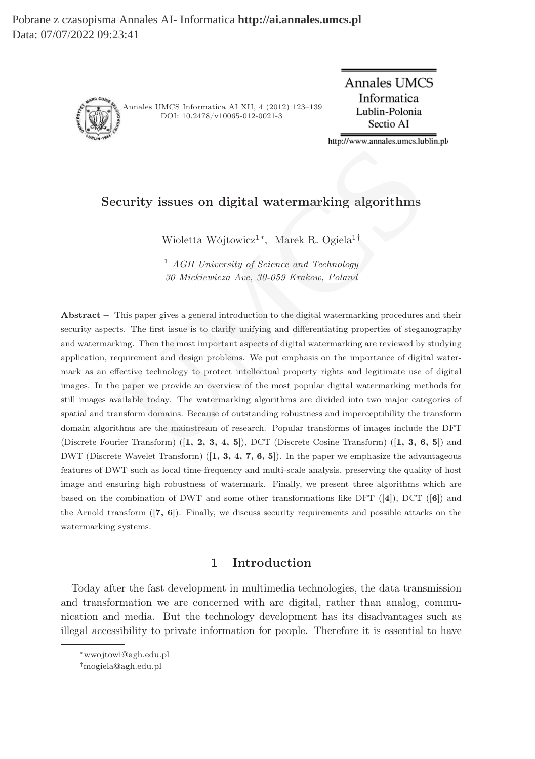Pobrane z czasopisma Annales AI- Informatica **http://ai.annales.umcs.pl** Data: 07/07/2022 09:23:41



Annales UMCS Informatica AI XII, 4 (2012) 123–139 DOI: 10.2478/v10065-012-0021-3

**Annales UMCS** Informatica Lublin-Polonia Sectio AI

# Security issues on digital watermarking algorithms

Wioletta Wójtowicz1<sup>∗</sup> , Marek R. Ogiela1†

 $1$  AGH University of Science and Technology 30 Mickiewicza Ave, 30-059 Krakow, Poland

Abstract – This paper gives a general introduction to the digital watermarking procedures and their security aspects. The first issue is to clarify unifying and differentiating properties of steganography and watermarking. Then the most important aspects of digital watermarking are reviewed by studying application, requirement and design problems. We put emphasis on the importance of digital watermark as an effective technology to protect intellectual property rights and legitimate use of digital images. In the paper we provide an overview of the most popular digital watermarking methods for still images available today. The watermarking algorithms are divided into two major categories of spatial and transform domains. Because of outstanding robustness and imperceptibility the transform domain algorithms are the mainstream of research. Popular transforms of images include the DFT (Discrete Fourier Transform) ([1, 2, 3, 4, 5]), DCT (Discrete Cosine Transform) ([1, 3, 6, 5]) and DWT (Discrete Wavelet Transform)  $(1, 3, 4, 7, 6, 5]$ . In the paper we emphasize the advantageous features of DWT such as local time-frequency and multi-scale analysis, preserving the quality of host image and ensuring high robustness of watermark. Finally, we present three algorithms which are based on the combination of DWT and some other transformations like DFT  $([4])$ , DCT  $([6])$  and the Arnold transform ([7, 6]). Finally, we discuss security requirements and possible attacks on the watermarking systems. curity issues on digital watermarking algorithms<br>Wioletta Wójtowicz<sup>1\*</sup>, Marek R. Ogiela<sup>1†</sup><br><sup>1</sup> *AGH University of Science and Technology*<br>*30 Mickiewicza Ave, 30-059 Krakow, Poland*<br>This paper gives a general introducti

## 1 Introduction

Today after the fast development in multimedia technologies, the data transmission and transformation we are concerned with are digital, rather than analog, communication and media. But the technology development has its disadvantages such as illegal accessibility to private information for people. Therefore it is essential to have

<sup>∗</sup>wwojtowi@agh.edu.pl

<sup>†</sup>mogiela@agh.edu.pl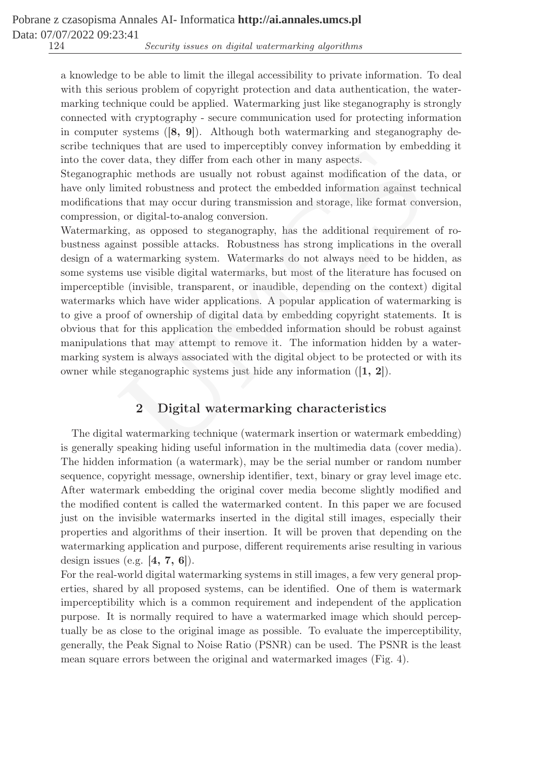a knowledge to be able to limit the illegal accessibility to private information. To deal with this serious problem of copyright protection and data authentication, the watermarking technique could be applied. Watermarking just like steganography is strongly connected with cryptography - secure communication used for protecting information in computer systems  $([8, 9])$ . Although both watermarking and steganography describe techniques that are used to imperceptibly convey information by embedding it into the cover data, they differ from each other in many aspects.

Steganographic methods are usually not robust against modification of the data, or have only limited robustness and protect the embedded information against technical modifications that may occur during transmission and storage, like format conversion, compression, or digital-to-analog conversion.

Watermarking, as opposed to steganography, has the additional requirement of robustness against possible attacks. Robustness has strong implications in the overall design of a watermarking system. Watermarks do not always need to be hidden, as some systems use visible digital watermarks, but most of the literature has focused on imperceptible (invisible, transparent, or inaudible, depending on the context) digital watermarks which have wider applications. A popular application of watermarking is to give a proof of ownership of digital data by embedding copyright statements. It is obvious that for this application the embedded information should be robust against manipulations that may attempt to remove it. The information hidden by a watermarking system is always associated with the digital object to be protected or with its owner while steganographic systems just hide any information ([1, 2]). rigues that are used to imperceptibly convey information by embeted and, they differ from each other in many aspects.<br>Their methods are usually not robust against modification of the dimited robustness and protect the embe

# 2 Digital watermarking characteristics

The digital watermarking technique (watermark insertion or watermark embedding) is generally speaking hiding useful information in the multimedia data (cover media). The hidden information (a watermark), may be the serial number or random number sequence, copyright message, ownership identifier, text, binary or gray level image etc. After watermark embedding the original cover media become slightly modified and the modified content is called the watermarked content. In this paper we are focused just on the invisible watermarks inserted in the digital still images, especially their properties and algorithms of their insertion. It will be proven that depending on the watermarking application and purpose, different requirements arise resulting in various design issues (e.g.  $[4, 7, 6]$ ).

For the real-world digital watermarking systems in still images, a few very general properties, shared by all proposed systems, can be identified. One of them is watermark imperceptibility which is a common requirement and independent of the application purpose. It is normally required to have a watermarked image which should perceptually be as close to the original image as possible. To evaluate the imperceptibility, generally, the Peak Signal to Noise Ratio (PSNR) can be used. The PSNR is the least mean square errors between the original and watermarked images (Fig. 4).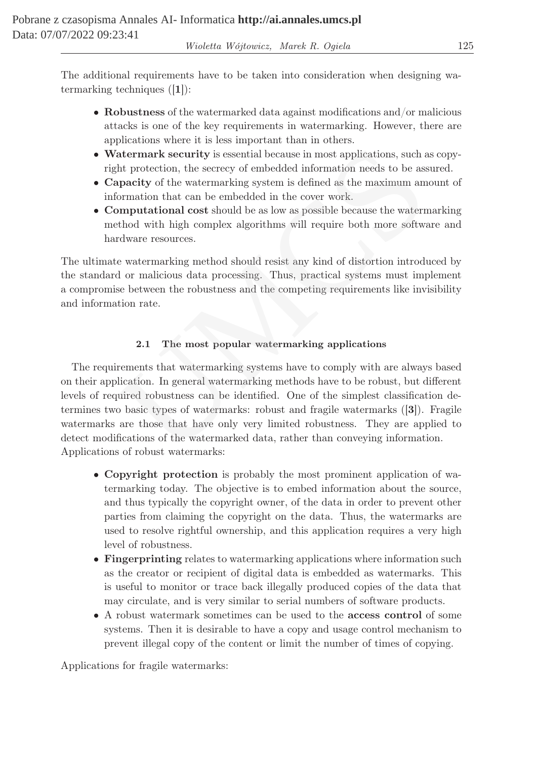The additional requirements have to be taken into consideration when designing watermarking techniques ([1]):

- Robustness of the watermarked data against modifications and/or malicious attacks is one of the key requirements in watermarking. However, there are applications where it is less important than in others.
- Watermark security is essential because in most applications, such as copyright protection, the secrecy of embedded information needs to be assured.
- Capacity of the watermarking system is defined as the maximum amount of information that can be embedded in the cover work.
- Computational cost should be as low as possible because the watermarking method with high complex algorithms will require both more software and hardware resources.

The ultimate watermarking method should resist any kind of distortion introduced by the standard or malicious data processing. Thus, practical systems must implement a compromise between the robustness and the competing requirements like invisibility and information rate.

# 2.1 The most popular watermarking applications

The requirements that watermarking systems have to comply with are always based on their application. In general watermarking methods have to be robust, but different levels of required robustness can be identified. One of the simplest classification determines two basic types of watermarks: robust and fragile watermarks ([3]). Fragile watermarks are those that have only very limited robustness. They are applied to detect modifications of the watermarked data, rather than conveying information. Applications of robust watermarks: Note that provides are the security is essential because in most applications, such a<br>star protection, the secrecy of embedded information needs to be as<br>similar protection, the secrecy of embedded information needs to be

- Copyright protection is probably the most prominent application of watermarking today. The objective is to embed information about the source, and thus typically the copyright owner, of the data in order to prevent other parties from claiming the copyright on the data. Thus, the watermarks are used to resolve rightful ownership, and this application requires a very high level of robustness.
- Fingerprinting relates to watermarking applications where information such as the creator or recipient of digital data is embedded as watermarks. This is useful to monitor or trace back illegally produced copies of the data that may circulate, and is very similar to serial numbers of software products.
- A robust watermark sometimes can be used to the access control of some systems. Then it is desirable to have a copy and usage control mechanism to prevent illegal copy of the content or limit the number of times of copying.

Applications for fragile watermarks: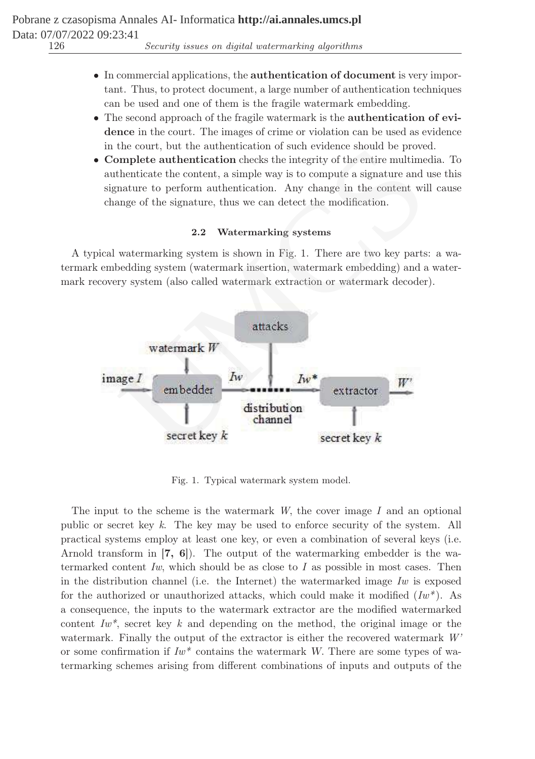- In commercial applications, the authentication of document is very important. Thus, to protect document, a large number of authentication techniques can be used and one of them is the fragile watermark embedding.
- The second approach of the fragile watermark is the authentication of evidence in the court. The images of crime or violation can be used as evidence in the court, but the authentication of such evidence should be proved.
- Complete authentication checks the integrity of the entire multimedia. To authenticate the content, a simple way is to compute a signature and use this signature to perform authentication. Any change in the content will cause change of the signature, thus we can detect the modification.

#### 2.2 Watermarking systems

A typical watermarking system is shown in Fig. 1. There are two key parts: a watermark embedding system (watermark insertion, watermark embedding) and a watermark recovery system (also called watermark extraction or watermark decoder).



Fig. 1. Typical watermark system model.

The input to the scheme is the watermark  $W$ , the cover image  $I$  and an optional public or secret key k. The key may be used to enforce security of the system. All practical systems employ at least one key, or even a combination of several keys (i.e. Arnold transform in  $[7, 6]$ . The output of the watermarking embedder is the watermarked content Iw, which should be as close to I as possible in most cases. Then in the distribution channel (i.e. the Internet) the watermarked image  $Iw$  is exposed for the authorized or unauthorized attacks, which could make it modified  $(Iw^*)$ . As a consequence, the inputs to the watermark extractor are the modified watermarked content  $Iw^*$ , secret key k and depending on the method, the original image or the watermark. Finally the output of the extractor is either the recovered watermark W' or some confirmation if  $Iw^*$  contains the watermark W. There are some types of watermarking schemes arising from different combinations of inputs and outputs of the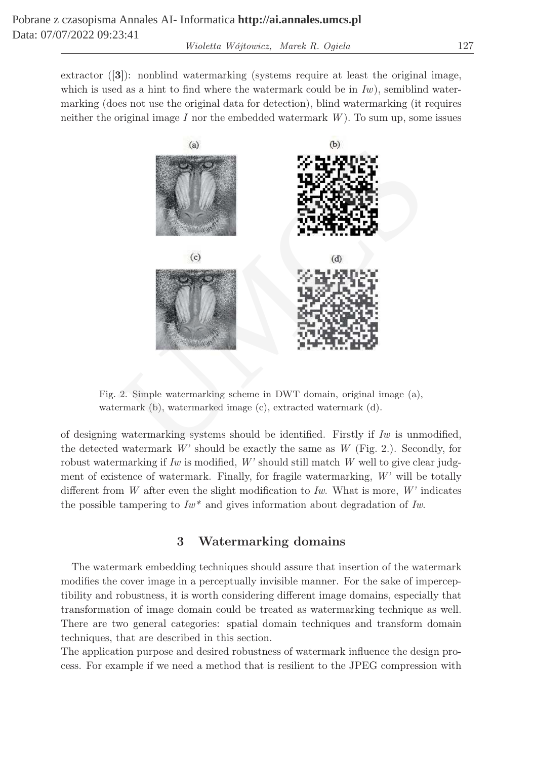extractor ([3]): nonblind watermarking (systems require at least the original image, which is used as a hint to find where the watermark could be in  $Iw$ ), semiblind watermarking (does not use the original data for detection), blind watermarking (it requires neither the original image I nor the embedded watermark  $W$ ). To sum up, some issues



Fig. 2. Simple watermarking scheme in DWT domain, original image (a), watermark (b), watermarked image (c), extracted watermark (d).

of designing watermarking systems should be identified. Firstly if  $Iw$  is unmodified, the detected watermark  $W'$  should be exactly the same as  $W$  (Fig. 2.). Secondly, for robust watermarking if Iw is modified,  $W'$  should still match  $W$  well to give clear judgment of existence of watermark. Finally, for fragile watermarking, W' will be totally different from W after even the slight modification to Iw. What is more,  $W'$  indicates the possible tampering to  $Iw^*$  and gives information about degradation of Iw.

## 3 Watermarking domains

The watermark embedding techniques should assure that insertion of the watermark modifies the cover image in a perceptually invisible manner. For the sake of imperceptibility and robustness, it is worth considering different image domains, especially that transformation of image domain could be treated as watermarking technique as well. There are two general categories: spatial domain techniques and transform domain techniques, that are described in this section.

The application purpose and desired robustness of watermark influence the design process. For example if we need a method that is resilient to the JPEG compression with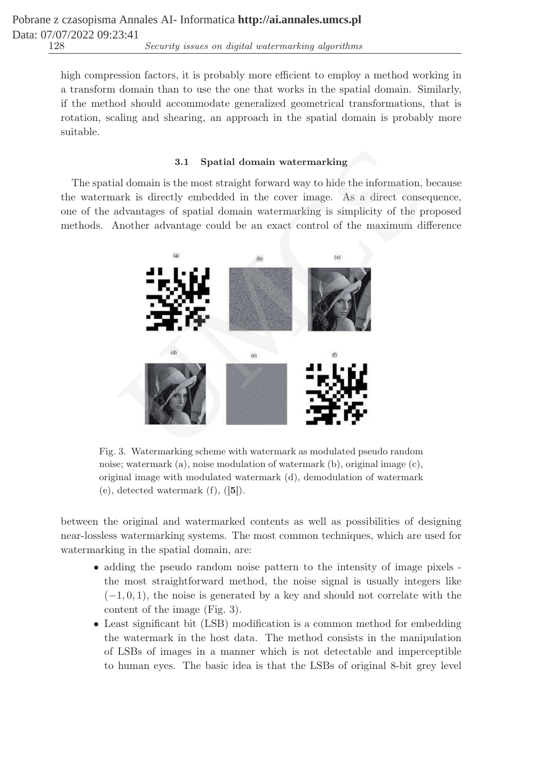high compression factors, it is probably more efficient to employ a method working in a transform domain than to use the one that works in the spatial domain. Similarly, if the method should accommodate generalized geometrical transformations, that is rotation, scaling and shearing, an approach in the spatial domain is probably more suitable.

#### 3.1 Spatial domain watermarking

The spatial domain is the most straight forward way to hide the information, because the watermark is directly embedded in the cover image. As a direct consequence, one of the advantages of spatial domain watermarking is simplicity of the proposed methods. Another advantage could be an exact control of the maximum difference



Fig. 3. Watermarking scheme with watermark as modulated pseudo random noise; watermark (a), noise modulation of watermark (b), original image (c), original image with modulated watermark (d), demodulation of watermark  $(e)$ , detected watermark  $(f)$ ,  $([5])$ .

between the original and watermarked contents as well as possibilities of designing near-lossless watermarking systems. The most common techniques, which are used for watermarking in the spatial domain, are:

- adding the pseudo random noise pattern to the intensity of image pixels the most straightforward method, the noise signal is usually integers like  $(-1, 0, 1)$ , the noise is generated by a key and should not correlate with the content of the image (Fig. 3).
- Least significant bit (LSB) modification is a common method for embedding the watermark in the host data. The method consists in the manipulation of LSBs of images in a manner which is not detectable and imperceptible to human eyes. The basic idea is that the LSBs of original 8-bit grey level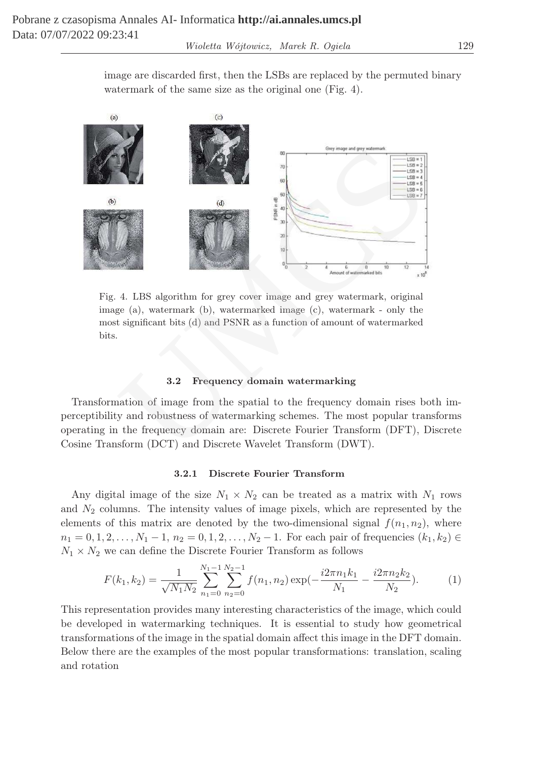image are discarded first, then the LSBs are replaced by the permuted binary watermark of the same size as the original one (Fig. 4).



Fig. 4. LBS algorithm for grey cover image and grey watermark, original image (a), watermark (b), watermarked image (c), watermark - only the most significant bits (d) and PSNR as a function of amount of watermarked bits.

#### 3.2 Frequency domain watermarking

Transformation of image from the spatial to the frequency domain rises both imperceptibility and robustness of watermarking schemes. The most popular transforms operating in the frequency domain are: Discrete Fourier Transform (DFT), Discrete Cosine Transform (DCT) and Discrete Wavelet Transform (DWT).

#### 3.2.1 Discrete Fourier Transform

Any digital image of the size  $N_1 \times N_2$  can be treated as a matrix with  $N_1$  rows and  $N_2$  columns. The intensity values of image pixels, which are represented by the elements of this matrix are denoted by the two-dimensional signal  $f(n_1, n_2)$ , where  $n_1 = 0, 1, 2, \ldots, N_1 - 1, n_2 = 0, 1, 2, \ldots, N_2 - 1$ . For each pair of frequencies  $(k_1, k_2) \in$  $N_1 \times N_2$  we can define the Discrete Fourier Transform as follows

$$
F(k_1, k_2) = \frac{1}{\sqrt{N_1 N_2}} \sum_{n_1=0}^{N_1-1} \sum_{n_2=0}^{N_2-1} f(n_1, n_2) \exp(-\frac{i2\pi n_1 k_1}{N_1} - \frac{i2\pi n_2 k_2}{N_2}).
$$
 (1)

This representation provides many interesting characteristics of the image, which could be developed in watermarking techniques. It is essential to study how geometrical transformations of the image in the spatial domain affect this image in the DFT domain. Below there are the examples of the most popular transformations: translation, scaling and rotation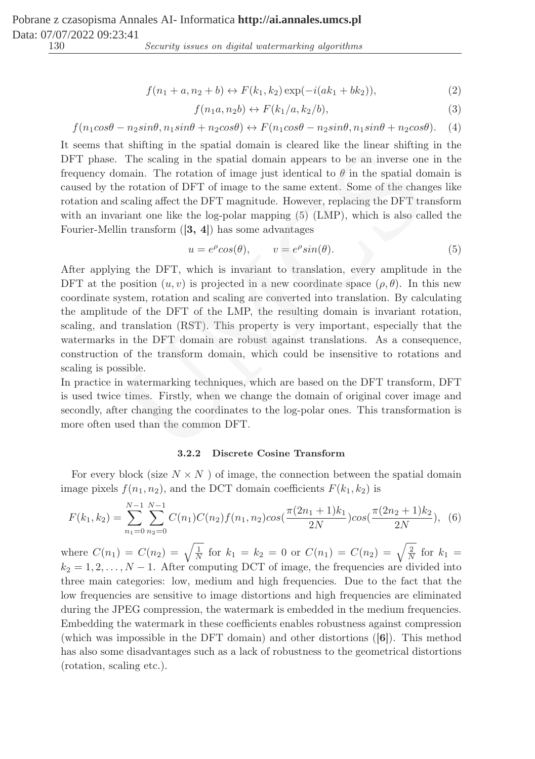$f(n_1 + a, n_2 + b) \leftrightarrow F(k_1, k_2) \exp(-i(ak_1 + bk_2)),$  (2)

$$
f(n_1a, n_2b) \leftrightarrow F(k_1/a, k_2/b), \tag{3}
$$

 $f(n_1cos\theta - n_2sin\theta, n_1sin\theta + n_2cos\theta) \leftrightarrow F(n_1cos\theta - n_2sin\theta, n_1sin\theta + n_2cos\theta).$  (4)

It seems that shifting in the spatial domain is cleared like the linear shifting in the DFT phase. The scaling in the spatial domain appears to be an inverse one in the frequency domain. The rotation of image just identical to  $\theta$  in the spatial domain is caused by the rotation of DFT of image to the same extent. Some of the changes like rotation and scaling affect the DFT magnitude. However, replacing the DFT transform with an invariant one like the log-polar mapping  $(5)$  (LMP), which is also called the Fourier-Mellin transform ([3, 4]) has some advantages

$$
u = e^{\rho} \cos(\theta), \qquad v = e^{\rho} \sin(\theta). \tag{5}
$$

After applying the DFT, which is invariant to translation, every amplitude in the DFT at the position  $(u, v)$  is projected in a new coordinate space  $(\rho, \theta)$ . In this new coordinate system, rotation and scaling are converted into translation. By calculating the amplitude of the DFT of the LMP, the resulting domain is invariant rotation, scaling, and translation (RST). This property is very important, especially that the watermarks in the DFT domain are robust against translations. As a consequence, construction of the transform domain, which could be insensitive to rotations and scaling is possible. at sintung in the spatial domain is ceated like the linear sintung<br>
The scaling in the spatial domain appears to be an inverse one<br>
omain. The rotation of image just identical to  $\theta$  in the spatial do<br>
he rotation of DFT

In practice in watermarking techniques, which are based on the DFT transform, DFT is used twice times. Firstly, when we change the domain of original cover image and secondly, after changing the coordinates to the log-polar ones. This transformation is more often used than the common DFT.

#### 3.2.2 Discrete Cosine Transform

For every block (size  $N \times N$ ) of image, the connection between the spatial domain image pixels  $f(n_1, n_2)$ , and the DCT domain coefficients  $F(k_1, k_2)$  is

$$
F(k_1, k_2) = \sum_{n_1=0}^{N-1} \sum_{n_2=0}^{N-1} C(n_1)C(n_2)f(n_1, n_2)cos(\frac{\pi(2n_1+1)k_1}{2N})cos(\frac{\pi(2n_2+1)k_2}{2N}), \quad (6)
$$

where  $C(n_1) = C(n_2) = \sqrt{\frac{1}{N}}$  $\frac{1}{N}$  for  $k_1 = k_2 = 0$  or  $C(n_1) = C(n_2) = \sqrt{\frac{2}{N}}$  $\frac{2}{N}$  for  $k_1 =$  $k_2 = 1, 2, \ldots, N - 1$ . After computing DCT of image, the frequencies are divided into three main categories: low, medium and high frequencies. Due to the fact that the low frequencies are sensitive to image distortions and high frequencies are eliminated during the JPEG compression, the watermark is embedded in the medium frequencies. Embedding the watermark in these coefficients enables robustness against compression (which was impossible in the DFT domain) and other distortions ([6]). This method has also some disadvantages such as a lack of robustness to the geometrical distortions (rotation, scaling etc.).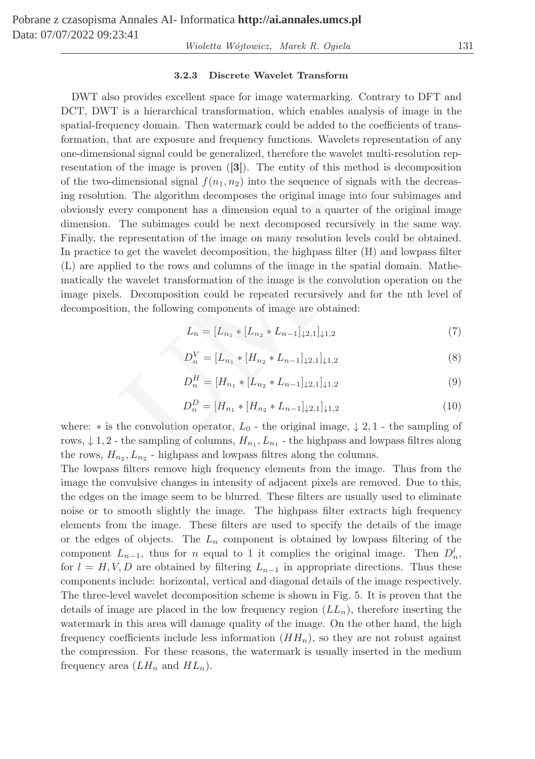#### Wioletta Wójtowicz, Marek R. Ogiela 131

#### 3.2.3 Discrete Wavelet Transform

DWT also provides excellent space for image watermarking. Contrary to DFT and DCT, DWT is a hierarchical transformation, which enables analysis of image in the spatial-frequency domain. Then watermark could be added to the coefficients of transformation, that are exposure and frequency functions. Wavelets representation of any one-dimensional signal could be generalized, therefore the wavelet multi-resolution representation of the image is proven ([3]). The entity of this method is decomposition of the two-dimensional signal  $f(n_1, n_2)$  into the sequence of signals with the decreasing resolution. The algorithm decomposes the original image into four subimages and obviously every component has a dimension equal to a quarter of the original image dimension. The subimages could be next decomposed recursively in the same way. Finally, the representation of the image on many resolution levels could be obtained. In practice to get the wavelet decomposition, the highpass filter (H) and lowpass filter (L) are applied to the rows and columns of the image in the spatial domain. Mathematically the wavelet transformation of the image is the convolution operation on the image pixels. Decomposition could be repeated recursively and for the nth level of decomposition, the following components of image are obtained: onal signal could be generalized, therefore the wavelet multi-resolution<br>of the image is proven ([3]). The entity of this method is decomp<br>ilmensional signal  $f(n_1, n_2)$  into the sequence of signals with the c<br>n. The algo

$$
L_n = [L_{n_1} * [L_{n_2} * L_{n-1}]_{\downarrow 2,1}]_{\downarrow 1,2} \tag{7}
$$

$$
D_n^V = [L_{n_1} * [H_{n_2} * L_{n-1}]_{\downarrow 2,1}]_{\downarrow 1,2}
$$
\n(8)

$$
D_n^H = [H_{n_1} * [L_{n_2} * L_{n-1}]_{\downarrow 2,1}]_{\downarrow 1,2}
$$
\n(9)

$$
D_n^D = [H_{n_1} * [H_{n_2} * L_{n-1}]_{\downarrow 2,1}]_{\downarrow 1,2}
$$
\n(10)

where:  $*$  is the convolution operator,  $L_0$  - the original image,  $\downarrow 2, 1$  - the sampling of rows,  $\downarrow$  1, 2 - the sampling of columns,  $H_{n_1}, L_{n_1}$  - the highpass and lowpass filtres along the rows,  $H_{n_2}, L_{n_2}$  - highpass and lowpass filtres along the columns.

The lowpass filters remove high frequency elements from the image. Thus from the image the convulsive changes in intensity of adjacent pixels are removed. Due to this, the edges on the image seem to be blurred. These filters are usually used to eliminate noise or to smooth slightly the image. The highpass filter extracts high frequency elements from the image. These filters are used to specify the details of the image or the edges of objects. The  $L_n$  component is obtained by lowpass filtering of the component  $L_{n-1}$ , thus for n equal to 1 it complies the original image. Then  $D_n^l$ , for  $l = H, V, D$  are obtained by filtering  $L_{n-1}$  in appropriate directions. Thus these components include: horizontal, vertical and diagonal details of the image respectively. The three-level wavelet decomposition scheme is shown in Fig. 5. It is proven that the details of image are placed in the low frequency region  $(LL_n)$ , therefore inserting the watermark in this area will damage quality of the image. On the other hand, the high frequency coefficients include less information  $(HH_n)$ , so they are not robust against the compression. For these reasons, the watermark is usually inserted in the medium frequency area  $(LH_n \text{ and } HL_n)$ .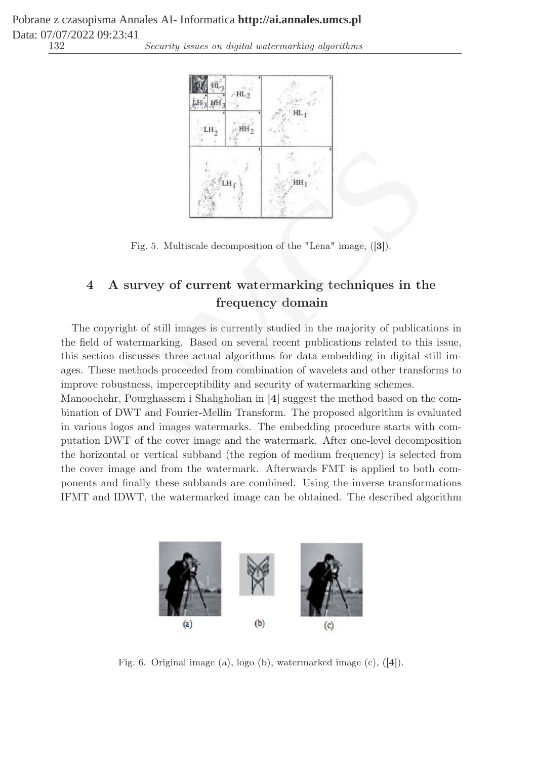132 Security issues on digital watermarking algorithms



Fig. 5. Multiscale decomposition of the "Lena" image, ([3]).

# 4 A survey of current watermarking techniques in the frequency domain

The copyright of still images is currently studied in the majority of publications in the field of watermarking. Based on several recent publications related to this issue, this section discusses three actual algorithms for data embedding in digital still images. These methods proceeded from combination of wavelets and other transforms to improve robustness, imperceptibility and security of watermarking schemes.  $\begin{tabular}{|c|c|} \hline & \multicolumn{1}{c}{\textbf{\emph{F}}}\\ \hline \end{tabular} \hline \begin{tabular}{|c|c|} \hline & \multicolumn{1}{c}{\textbf{\emph{F}}}\\ \hline \end{tabular} \hline \begin{tabular}{|c|c|} \hline & \multicolumn{1}{c}{\textbf{\emph{F}}}\\ \hline \end{tabular} \hline \begin{tabular}{|c|c|} \hline & \multicolumn{1}{c}{\textbf{\emph{F}}}\\ \hline \end{tabular} \hline \begin{tabular}{|c|c|} \hline \end{tabular} \hline \begin{tabular}{|c$ 

Manoochehr, Pourghassem i Shahgholian in [4] suggest the method based on the combination of DWT and Fourier-Mellin Transform. The proposed algorithm is evaluated in various logos and images watermarks. The embedding procedure starts with computation DWT of the cover image and the watermark. After one-level decomposition the horizontal or vertical subband (the region of medium frequency) is selected from the cover image and from the watermark. Afterwards FMT is applied to both components and finally these subbands are combined. Using the inverse transformations IFMT and IDWT, the watermarked image can be obtained. The described algorithm



Fig. 6. Original image (a), logo (b), watermarked image (c), ([4]).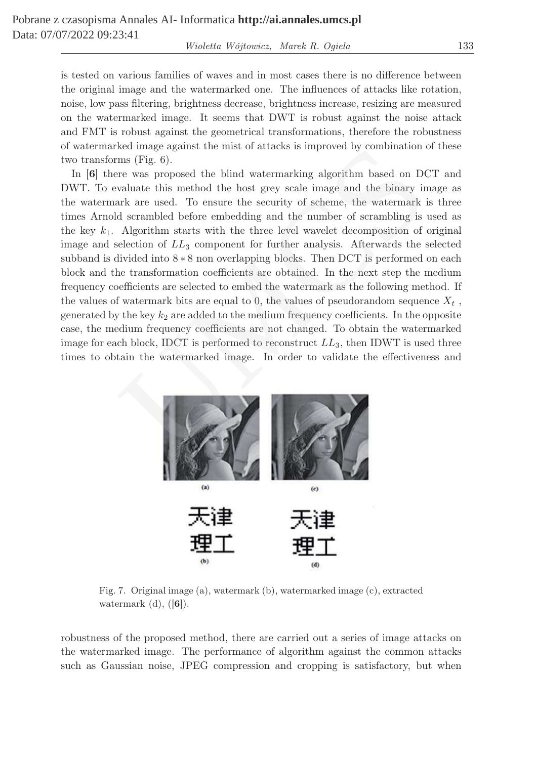Wioletta Wójtowicz, Marek R. Ogiela 133

is tested on various families of waves and in most cases there is no difference between the original image and the watermarked one. The influences of attacks like rotation, noise, low pass filtering, brightness decrease, brightness increase, resizing are measured on the watermarked image. It seems that DWT is robust against the noise attack and FMT is robust against the geometrical transformations, therefore the robustness of watermarked image against the mist of attacks is improved by combination of these two transforms (Fig. 6).

In [6] there was proposed the blind watermarking algorithm based on DCT and DWT. To evaluate this method the host grey scale image and the binary image as the watermark are used. To ensure the security of scheme, the watermark is three times Arnold scrambled before embedding and the number of scrambling is used as the key  $k_1$ . Algorithm starts with the three level wavelet decomposition of original image and selection of  $LL_3$  component for further analysis. Afterwards the selected subband is divided into 8 ∗ 8 non overlapping blocks. Then DCT is performed on each block and the transformation coefficients are obtained. In the next step the medium frequency coefficients are selected to embed the watermark as the following method. If the values of watermark bits are equal to 0, the values of pseudorandom sequence  $X_t$ , generated by the key  $k_2$  are added to the medium frequency coefficients. In the opposite case, the medium frequency coefficients are not changed. To obtain the watermarked image for each block, IDCT is performed to reconstruct  $LL_3$ , then IDWT is used three times to obtain the watermarked image. In order to validate the effectiveness and Each image against the mist of attacks is improved by combination of<br>ms (Fig. 6).<br>The was proposed the blind watermarking algorithm based on DC<br>valuate this method the host grey scale image and the binary in<br>ark are used.



Fig. 7. Original image (a), watermark (b), watermarked image (c), extracted watermark  $(d)$ ,  $([6])$ .

robustness of the proposed method, there are carried out a series of image attacks on the watermarked image. The performance of algorithm against the common attacks such as Gaussian noise, JPEG compression and cropping is satisfactory, but when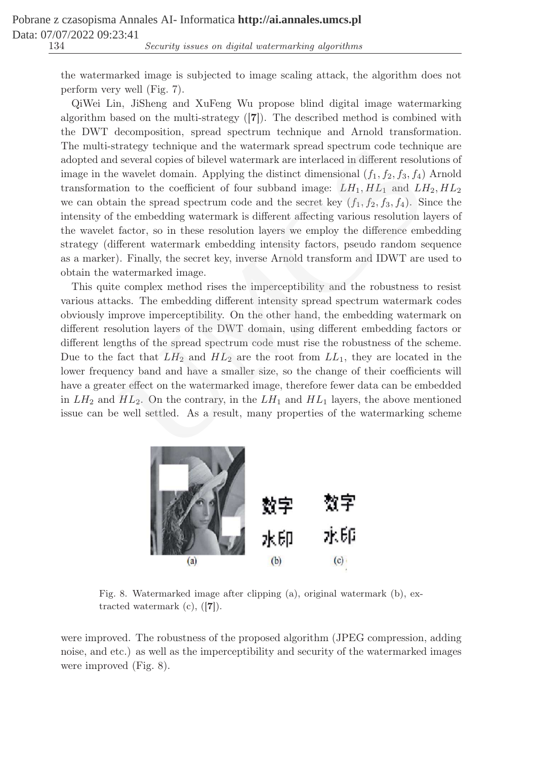the watermarked image is subjected to image scaling attack, the algorithm does not perform very well (Fig. 7).

QiWei Lin, JiSheng and XuFeng Wu propose blind digital image watermarking algorithm based on the multi-strategy  $([7])$ . The described method is combined with the DWT decomposition, spread spectrum technique and Arnold transformation. The multi-strategy technique and the watermark spread spectrum code technique are adopted and several copies of bilevel watermark are interlaced in different resolutions of image in the wavelet domain. Applying the distinct dimensional  $(f_1, f_2, f_3, f_4)$  Arnold transformation to the coefficient of four subband image:  $LH_1, HL_1$  and  $LH_2, HL_2$ we can obtain the spread spectrum code and the secret key  $(f_1, f_2, f_3, f_4)$ . Since the intensity of the embedding watermark is different affecting various resolution layers of the wavelet factor, so in these resolution layers we employ the difference embedding strategy (different watermark embedding intensity factors, pseudo random sequence as a marker). Finally, the secret key, inverse Arnold transform and IDWT are used to obtain the watermarked image.

This quite complex method rises the imperceptibility and the robustness to resist various attacks. The embedding different intensity spread spectrum watermark codes obviously improve imperceptibility. On the other hand, the embedding watermark on different resolution layers of the DWT domain, using different embedding factors or different lengths of the spread spectrum code must rise the robustness of the scheme. Due to the fact that  $LH_2$  and  $HL_2$  are the root from  $LL_1$ , they are located in the lower frequency band and have a smaller size, so the change of their coefficients will have a greater effect on the watermarked image, therefore fewer data can be embedded in  $LH_2$  and  $HL_2$ . On the contrary, in the  $LH_1$  and  $HL_1$  layers, the above mentioned issue can be well settled. As a result, many properties of the watermarking scheme trategy technique and the watermark spread spectrum code technical<br>several copies of bilevel watermark are interlaced in different resolute<br>is wavelet domain. Applying the distinct dimensional ( $f_1$ ,  $f_2$ ,  $f_3$ ,  $f_4$ )



Fig. 8. Watermarked image after clipping (a), original watermark (b), extracted watermark (c), ([7]).

were improved. The robustness of the proposed algorithm (JPEG compression, adding noise, and etc.) as well as the imperceptibility and security of the watermarked images were improved (Fig. 8).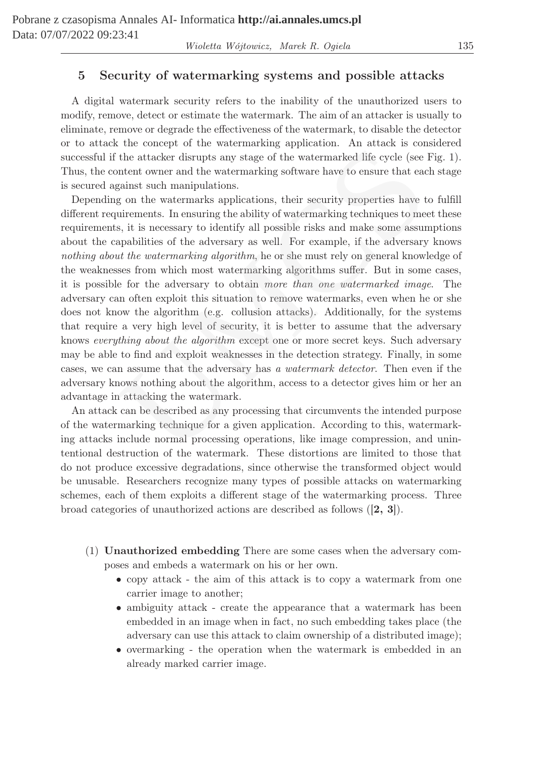## 5 Security of watermarking systems and possible attacks

A digital watermark security refers to the inability of the unauthorized users to modify, remove, detect or estimate the watermark. The aim of an attacker is usually to eliminate, remove or degrade the effectiveness of the watermark, to disable the detector or to attack the concept of the watermarking application. An attack is considered successful if the attacker disrupts any stage of the watermarked life cycle (see Fig. 1). Thus, the content owner and the watermarking software have to ensure that each stage is secured against such manipulations.

Depending on the watermarks applications, their security properties have to fulfill different requirements. In ensuring the ability of watermarking techniques to meet these requirements, it is necessary to identify all possible risks and make some assumptions about the capabilities of the adversary as well. For example, if the adversary knows nothing about the watermarking algorithm, he or she must rely on general knowledge of the weaknesses from which most watermarking algorithms suffer. But in some cases, it is possible for the adversary to obtain more than one watermarked image. The adversary can often exploit this situation to remove watermarks, even when he or she does not know the algorithm (e.g. collusion attacks). Additionally, for the systems that require a very high level of security, it is better to assume that the adversary knows everything about the algorithm except one or more secret keys. Such adversary may be able to find and exploit weaknesses in the detection strategy. Finally, in some cases, we can assume that the adversary has a watermark detector. Then even if the adversary knows nothing about the algorithm, access to a detector gives him or her an advantage in attacking the watermark. The content of the watermarking approach. The detection state is content of the attacker disrupts any stage of the vatermarked life cycle (see ontent owner and the watermarking software have to ensure that each and the wa

An attack can be described as any processing that circumvents the intended purpose of the watermarking technique for a given application. According to this, watermarking attacks include normal processing operations, like image compression, and unintentional destruction of the watermark. These distortions are limited to those that do not produce excessive degradations, since otherwise the transformed object would be unusable. Researchers recognize many types of possible attacks on watermarking schemes, each of them exploits a different stage of the watermarking process. Three broad categories of unauthorized actions are described as follows ([2, 3]).

- (1) Unauthorized embedding There are some cases when the adversary composes and embeds a watermark on his or her own.
	- copy attack the aim of this attack is to copy a watermark from one carrier image to another;
	- ambiguity attack create the appearance that a watermark has been embedded in an image when in fact, no such embedding takes place (the adversary can use this attack to claim ownership of a distributed image);
	- overmarking the operation when the watermark is embedded in an already marked carrier image.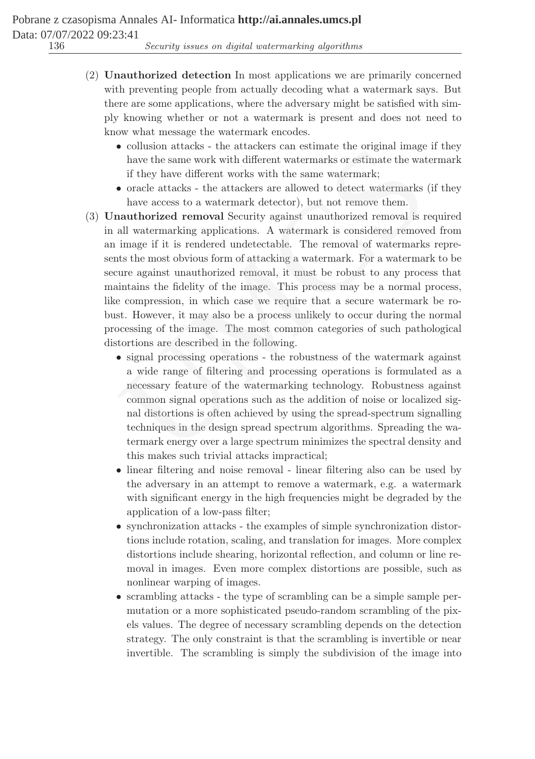- (2) Unauthorized detection In most applications we are primarily concerned with preventing people from actually decoding what a watermark says. But there are some applications, where the adversary might be satisfied with simply knowing whether or not a watermark is present and does not need to know what message the watermark encodes.
	- collusion attacks the attackers can estimate the original image if they have the same work with different watermarks or estimate the watermark if they have different works with the same watermark;
	- oracle attacks the attackers are allowed to detect watermarks (if they have access to a watermark detector), but not remove them.
- (3) Unauthorized removal Security against unauthorized removal is required in all watermarking applications. A watermark is considered removed from an image if it is rendered undetectable. The removal of watermarks represents the most obvious form of attacking a watermark. For a watermark to be secure against unauthorized removal, it must be robust to any process that maintains the fidelity of the image. This process may be a normal process, like compression, in which case we require that a secure watermark be robust. However, it may also be a process unlikely to occur during the normal processing of the image. The most common categories of such pathological distortions are described in the following. • colution attacks - the attackers can estimate the original mage<br>have the same work with different watermarks or estimate the wat<br>if they have different works with the same watermark;<br>• oracle attacks - the attackers are
	- signal processing operations the robustness of the watermark against a wide range of filtering and processing operations is formulated as a necessary feature of the watermarking technology. Robustness against common signal operations such as the addition of noise or localized signal distortions is often achieved by using the spread-spectrum signalling techniques in the design spread spectrum algorithms. Spreading the watermark energy over a large spectrum minimizes the spectral density and this makes such trivial attacks impractical;
	- linear filtering and noise removal linear filtering also can be used by the adversary in an attempt to remove a watermark, e.g. a watermark with significant energy in the high frequencies might be degraded by the application of a low-pass filter;
	- synchronization attacks the examples of simple synchronization distortions include rotation, scaling, and translation for images. More complex distortions include shearing, horizontal reflection, and column or line removal in images. Even more complex distortions are possible, such as nonlinear warping of images.
	- scrambling attacks the type of scrambling can be a simple sample permutation or a more sophisticated pseudo-random scrambling of the pixels values. The degree of necessary scrambling depends on the detection strategy. The only constraint is that the scrambling is invertible or near invertible. The scrambling is simply the subdivision of the image into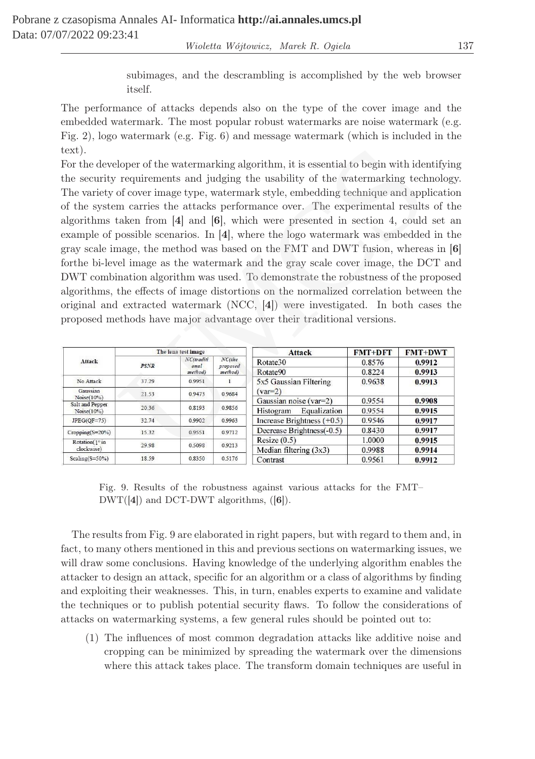subimages, and the descrambling is accomplished by the web browser itself.

The performance of attacks depends also on the type of the cover image and the embedded watermark. The most popular robust watermarks are noise watermark (e.g. Fig. 2), logo watermark (e.g. Fig. 6) and message watermark (which is included in the text).

For the developer of the watermarking algorithm, it is essential to begin with identifying the security requirements and judging the usability of the watermarking technology. The variety of cover image type, watermark style, embedding technique and application of the system carries the attacks performance over. The experimental results of the algorithms taken from  $\begin{bmatrix}4\end{bmatrix}$  and  $\begin{bmatrix}6\end{bmatrix}$ , which were presented in section 4, could set an example of possible scenarios. In [4], where the logo watermark was embedded in the gray scale image, the method was based on the FMT and DWT fusion, whereas in [6] forthe bi-level image as the watermark and the gray scale cover image, the DCT and DWT combination algorithm was used. To demonstrate the robustness of the proposed algorithms, the effects of image distortions on the normalized correlation between the original and extracted watermark (NCC, [4]) were investigated. In both cases the proposed methods have major advantage over their traditional versions. Hoper of the watermarking algorithm, it is essential to begin with ide<br>
requirements and judging the usability of the watermarking tech<br>
of cover image type, watermark style, embedding technique and app<br>
m carries the att

| Attack                        | The lena test image |                                          |                                  | <b>Attack</b>                | <b>FMT+DFT</b> | <b>FMT+DWT</b> |
|-------------------------------|---------------------|------------------------------------------|----------------------------------|------------------------------|----------------|----------------|
|                               | PSNR                | $NC$ (traditi<br>onal<br><i>method</i> ) | $NC$ (the<br>proposed<br>method) | Rotate30                     | 0.8576         | 0.9912         |
|                               |                     |                                          |                                  | Rotate <sub>90</sub>         | 0.8224         | 0.9913         |
| No Attack                     | 37.29               | 0.9951                                   |                                  | 5x5 Gaussian Filtering       | 0.9638         | 0.9913         |
| Gaussian                      | 21.53               | 0.9473                                   | 0.9684                           | $(var=2)$                    |                |                |
| Noise(10%)<br>Salt and Pepper |                     |                                          |                                  | Gaussian noise (var=2)       | 0.9554         | 0.9908         |
| Noise(10%)                    | 20.36               | 0.8193                                   | 0.9856                           | Equalization<br>Histogram    | 0.9554         | 0.9915         |
| $JPEG(OF=75)$                 | 32.74               | 0.9902                                   | 0.9963                           | Increase Brightness $(+0.5)$ | 0.9546         | 0.9917         |
| Cropping(S=20%)               | 15.32               | 0.9551                                   | 0.9712                           | Decrease Brightness(-0.5)    | 0.8430         | 0.9917         |
| Rotation(1° in                | 29.98               |                                          | <b>Construction Card</b>         | Resize $(0.5)$               | 1.0000         | 0.9915         |
| clockwise)                    |                     | 0.5098                                   | 0.9213                           | Median filtering $(3x3)$     | 0.9988         | 0.9914         |
| $Scaling(S=50\%)$             | 18.59               | 0.8350                                   | 0.5176                           | Contrast                     | 0.9561         | 0.9912         |

Fig. 9. Results of the robustness against various attacks for the FMT–  $DWT([4])$  and DCT-DWT algorithms,  $([6])$ .

The results from Fig. 9 are elaborated in right papers, but with regard to them and, in fact, to many others mentioned in this and previous sections on watermarking issues, we will draw some conclusions. Having knowledge of the underlying algorithm enables the attacker to design an attack, specific for an algorithm or a class of algorithms by finding and exploiting their weaknesses. This, in turn, enables experts to examine and validate the techniques or to publish potential security flaws. To follow the considerations of attacks on watermarking systems, a few general rules should be pointed out to:

(1) The influences of most common degradation attacks like additive noise and cropping can be minimized by spreading the watermark over the dimensions where this attack takes place. The transform domain techniques are useful in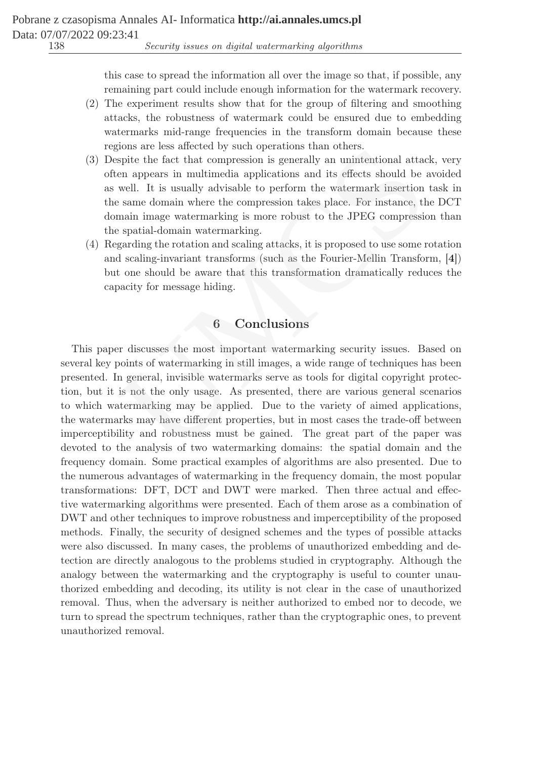this case to spread the information all over the image so that, if possible, any remaining part could include enough information for the watermark recovery.

- (2) The experiment results show that for the group of filtering and smoothing attacks, the robustness of watermark could be ensured due to embedding watermarks mid-range frequencies in the transform domain because these regions are less affected by such operations than others.
- (3) Despite the fact that compression is generally an unintentional attack, very often appears in multimedia applications and its effects should be avoided as well. It is usually advisable to perform the watermark insertion task in the same domain where the compression takes place. For instance, the DCT domain image watermarking is more robust to the JPEG compression than the spatial-domain watermarking.
- (4) Regarding the rotation and scaling attacks, it is proposed to use some rotation and scaling-invariant transforms (such as the Fourier-Mellin Transform, [4]) but one should be aware that this transformation dramatically reduces the capacity for message hiding.

# 6 Conclusions

This paper discusses the most important watermarking security issues. Based on several key points of watermarking in still images, a wide range of techniques has been presented. In general, invisible watermarks serve as tools for digital copyright protection, but it is not the only usage. As presented, there are various general scenarios to which watermarking may be applied. Due to the variety of aimed applications, the watermarks may have different properties, but in most cases the trade-off between imperceptibility and robustness must be gained. The great part of the paper was devoted to the analysis of two watermarking domains: the spatial domain and the frequency domain. Some practical examples of algorithms are also presented. Due to the numerous advantages of watermarking in the frequency domain, the most popular transformations: DFT, DCT and DWT were marked. Then three actual and effective watermarking algorithms were presented. Each of them arose as a combination of DWT and other techniques to improve robustness and imperceptibility of the proposed methods. Finally, the security of designed schemes and the types of possible attacks were also discussed. In many cases, the problems of unauthorized embedding and detection are directly analogous to the problems studied in cryptography. Although the analogy between the watermarking and the cryptography is useful to counter unauthorized embedding and decoding, its utility is not clear in the case of unauthorized removal. Thus, when the adversary is neither authorized to embed nor to decode, we turn to spread the spectrum techniques, rather than the cryptographic ones, to prevent unauthorized removal. repose are less arrected by such operations than others.<br>
Signite the fact that compression is generally an uniterational attacem appears in multimedia applications and its effects should be ivell. It is usually advisable